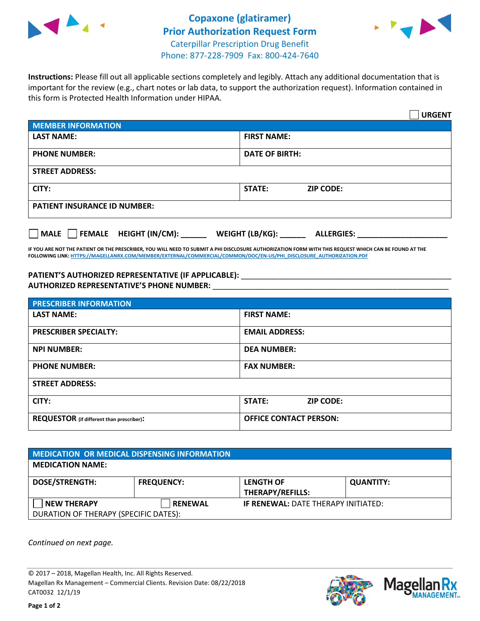



**Instructions:** Please fill out all applicable sections completely and legibly. Attach any additional documentation that is important for the review (e.g., chart notes or lab data, to support the authorization request). Information contained in this form is Protected Health Information under HIPAA.

|                                       | <b>URGENT</b>                          |  |  |  |
|---------------------------------------|----------------------------------------|--|--|--|
| <b>MEMBER INFORMATION</b>             |                                        |  |  |  |
| <b>LAST NAME:</b>                     | <b>FIRST NAME:</b>                     |  |  |  |
| <b>PHONE NUMBER:</b>                  | <b>DATE OF BIRTH:</b>                  |  |  |  |
| <b>STREET ADDRESS:</b>                |                                        |  |  |  |
| CITY:                                 | <b>ZIP CODE:</b><br>STATE:             |  |  |  |
| <b>PATIENT INSURANCE ID NUMBER:</b>   |                                        |  |  |  |
| FEMALE HEIGHT (IN/CM):<br><b>MALE</b> | WEIGHT (LB/KG): _<br><b>ALLERGIES:</b> |  |  |  |

**IF YOU ARE NOT THE PATIENT OR THE PRESCRIBER, YOU WILL NEED TO SUBMIT A PHI DISCLOSURE AUTHORIZATION FORM WITH THIS REQUEST WHICH CAN BE FOUND AT THE FOLLOWING LINK[: HTTPS://MAGELLANRX.COM/MEMBER/EXTERNAL/COMMERCIAL/COMMON/DOC/EN-US/PHI\\_DISCLOSURE\\_AUTHORIZATION.PDF](https://magellanrx.com/member/external/commercial/common/doc/en-us/PHI_Disclosure_Authorization.pdf)**

PATIENT'S AUTHORIZED REPRESENTATIVE (IF APPLICABLE): \_\_\_\_\_\_\_\_\_\_\_\_\_\_\_\_\_\_\_\_\_\_\_\_\_\_\_ **AUTHORIZED REPRESENTATIVE'S PHONE NUMBER:** \_\_\_\_\_\_\_\_\_\_\_\_\_\_\_\_\_\_\_\_\_\_\_\_\_\_\_\_\_\_\_\_\_\_\_\_\_\_\_\_\_\_\_\_\_\_\_\_\_\_\_\_\_\_\_

| <b>PRESCRIBER INFORMATION</b>             |                               |  |  |  |
|-------------------------------------------|-------------------------------|--|--|--|
| <b>LAST NAME:</b>                         | <b>FIRST NAME:</b>            |  |  |  |
| <b>PRESCRIBER SPECIALTY:</b>              | <b>EMAIL ADDRESS:</b>         |  |  |  |
| <b>NPI NUMBER:</b>                        | <b>DEA NUMBER:</b>            |  |  |  |
| <b>PHONE NUMBER:</b>                      | <b>FAX NUMBER:</b>            |  |  |  |
| <b>STREET ADDRESS:</b>                    |                               |  |  |  |
| CITY:                                     | STATE:<br><b>ZIP CODE:</b>    |  |  |  |
| REQUESTOR (if different than prescriber): | <b>OFFICE CONTACT PERSON:</b> |  |  |  |

| <b>MEDICATION OR MEDICAL DISPENSING INFORMATION</b> |                   |                                            |                  |  |  |
|-----------------------------------------------------|-------------------|--------------------------------------------|------------------|--|--|
| <b>MEDICATION NAME:</b>                             |                   |                                            |                  |  |  |
| <b>DOSE/STRENGTH:</b>                               | <b>FREQUENCY:</b> | <b>LENGTH OF</b>                           | <b>QUANTITY:</b> |  |  |
|                                                     |                   | <b>THERAPY/REFILLS:</b>                    |                  |  |  |
| <b>NEW THERAPY</b>                                  | <b>RENEWAL</b>    | <b>IF RENEWAL: DATE THERAPY INITIATED:</b> |                  |  |  |
| DURATION OF THERAPY (SPECIFIC DATES):               |                   |                                            |                  |  |  |

*Continued on next page.*

© 2017 – 2018, Magellan Health, Inc. All Rights Reserved. Magellan Rx Management – Commercial Clients. Revision Date: 08/22/2018 CAT0032 12/1/19